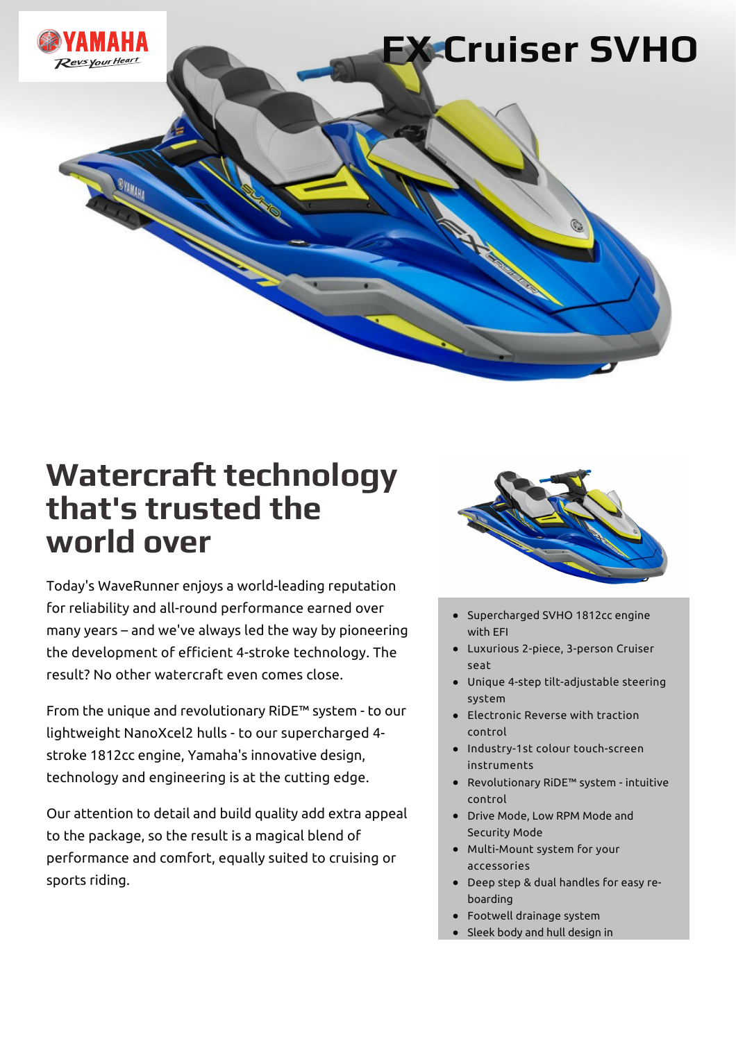

### **Watercraft technology that's trusted the world over**

Today's WaveRunner enjoys a world-leading reputation for reliability and all-round performance earned over many years – and we've always led the way by pioneering the development of efficient 4-stroke technology. The result? No other watercraft even comes close.

From the unique and revolutionary RiDE™ system - to our lightweight NanoXcel2 hulls - to our supercharged 4 stroke 1812cc engine, Yamaha's innovative design, technology and engineering is at the cutting edge.

Our attention to detail and build quality add extra appeal to the package, so the result is a magical blend of performance and comfort, equally suited to cruising or sports riding.



- Supercharged SVHO 1812cc engine with EFI
- Luxurious 2-piece, 3-person Cruiser seat
- Unique 4-step tilt-adjustable steering system
- Electronic Reverse with traction control
- Industry-1st colour touch-screen instruments
- Revolutionary RiDE™ system intuitive control
- Drive Mode, Low RPM Mode and Security Mode
- Multi-Mount system for your accessories
- Deep step & dual handles for easy reboarding
- Footwell drainage system
- Sleek body and hull design in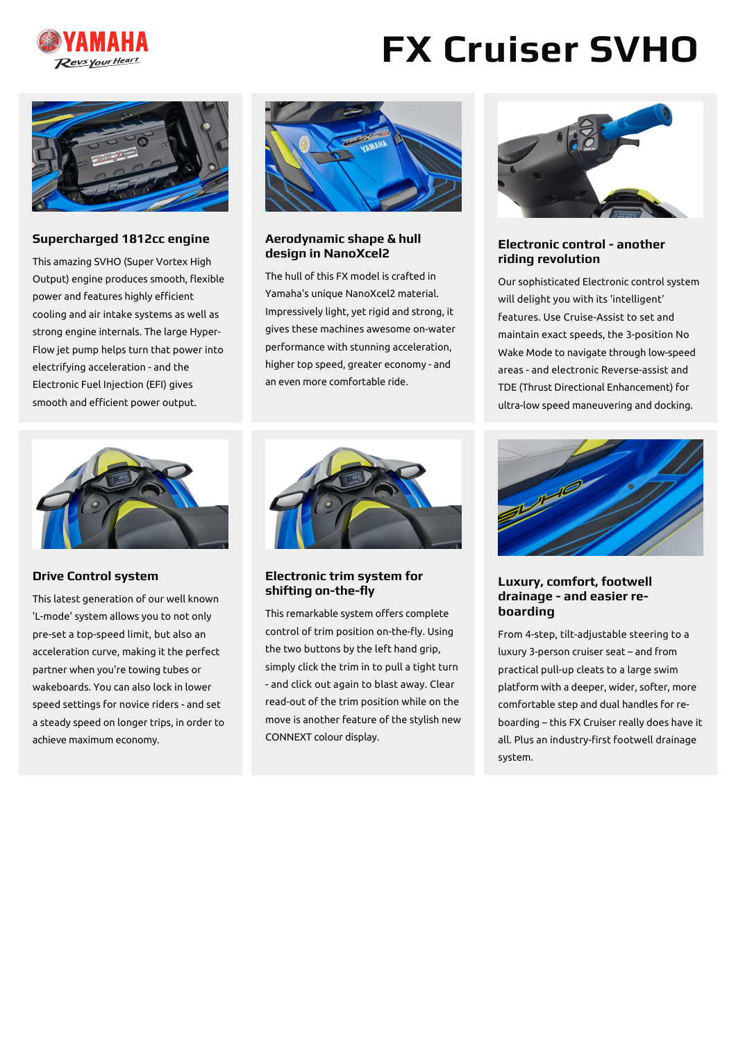

### **FX Cruiser SVHO**



#### **Supercharged 1812cc engine**

This amazing SVHO (Super Vortex High Output) engine produces smooth, flexible power and features highly efficient cooling and air intake systems as well as strong engine internals. The large Hyper-Flow jet pump helps turn that power into electrifying acceleration - and the Electronic Fuel Injection (EFI) gives smooth and efficient power output.



**Drive Control system**

This latest generation of our well known 'L-mode' system allows you to not only pre-set a top-speed limit, but also an acceleration curve, making it the perfect partner when you're towing tubes or wakeboards. You can also lock in lower speed settings for novice riders - and set a steady speed on longer trips, in order to achieve maximum economy.



#### **Aerodynamic shape & hull design in NanoXcel2**

The hull of this FX model is crafted in Yamaha's unique NanoXcel2 material. Impressively light, yet rigid and strong, it gives these machines awesome on-water performance with stunning acceleration, higher top speed, greater economy - and an even more comfortable ride.



#### **Electronic trim system for** shifting on-the-fly

This remarkable system offers complete control of trim position on-the-fly. Using the two buttons by the left hand grip, simply click the trim in to pull a tight turn - and click out again to blast away. Clear read-out of the trim position while on the move is another feature of the stylish new CONNEXT colour display.



#### **Electronic control - another riding revolution**

Our sophisticated Electronic control system will delight you with its 'intelligent' features. Use Cruise-Assist to set and maintain exact speeds, the 3-position No Wake Mode to navigate through low-speed areas - and electronic Reverse-assist and TDE (Thrust Directional Enhancement) for ultra-low speed maneuvering and docking.



#### **Luxury, comfort, footwell drainage - and easier reboarding**

From 4-step, tilt-adjustable steering to a luxury 3-person cruiser seat – and from practical pull-up cleats to a large swim platform with a deeper, wider, softer, more comfortable step and dual handles for reboarding – this FX Cruiser really does have it all. Plus an industry-first footwell drainage system.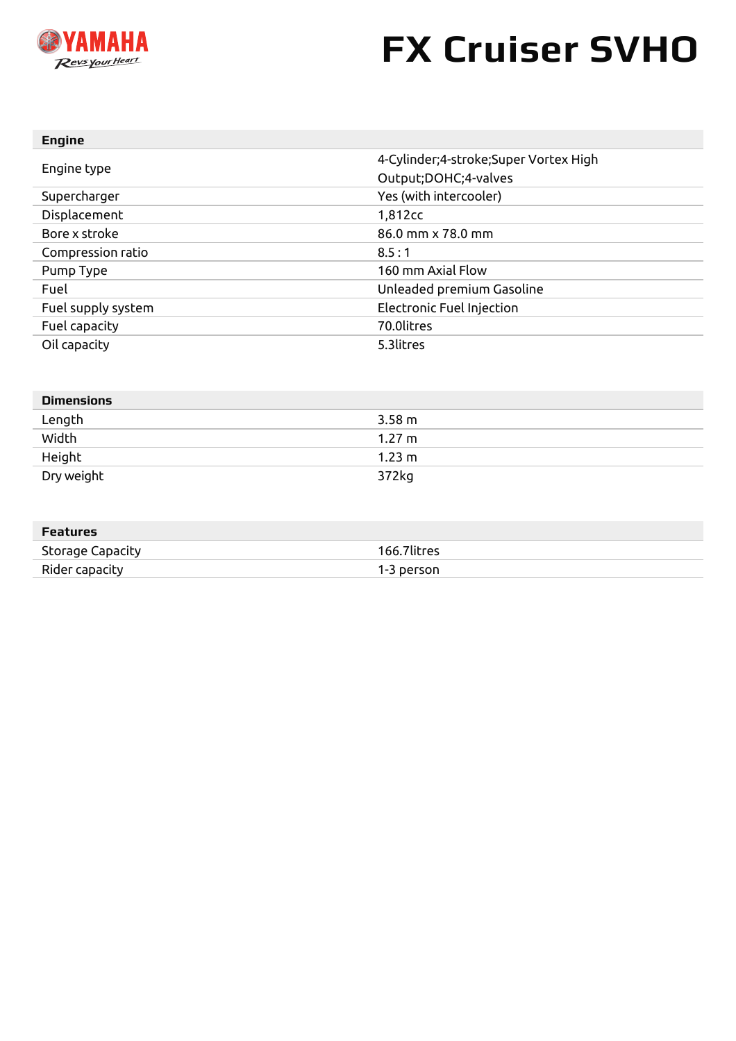

# **FX Cruiser SVHO**

| <b>Engine</b>      |                                         |
|--------------------|-----------------------------------------|
| Engine type        | 4-Cylinder; 4-stroke; Super Vortex High |
|                    | Output; DOHC; 4-valves                  |
| Supercharger       | Yes (with intercooler)                  |
| Displacement       | 1,812cc                                 |
| Bore x stroke      | $86.0$ mm $\times$ 78.0 mm              |
| Compression ratio  | 8.5:1                                   |
| Pump Type          | 160 mm Axial Flow                       |
| Fuel               | Unleaded premium Gasoline               |
| Fuel supply system | Electronic Fuel Injection               |
| Fuel capacity      | 70.0litres                              |
| Oil capacity       | 5.3litres                               |

| <b>Dimensions</b> |                  |
|-------------------|------------------|
| Length            | $3.58 \text{ m}$ |
| Width             | $1.27 \text{ m}$ |
| Height            | $1.23 \text{ m}$ |
| Dry weight        | 372kg            |

| Features         |             |
|------------------|-------------|
| Storage Capacity | 166.7litres |
| Rider capacity   | 1-3 person  |